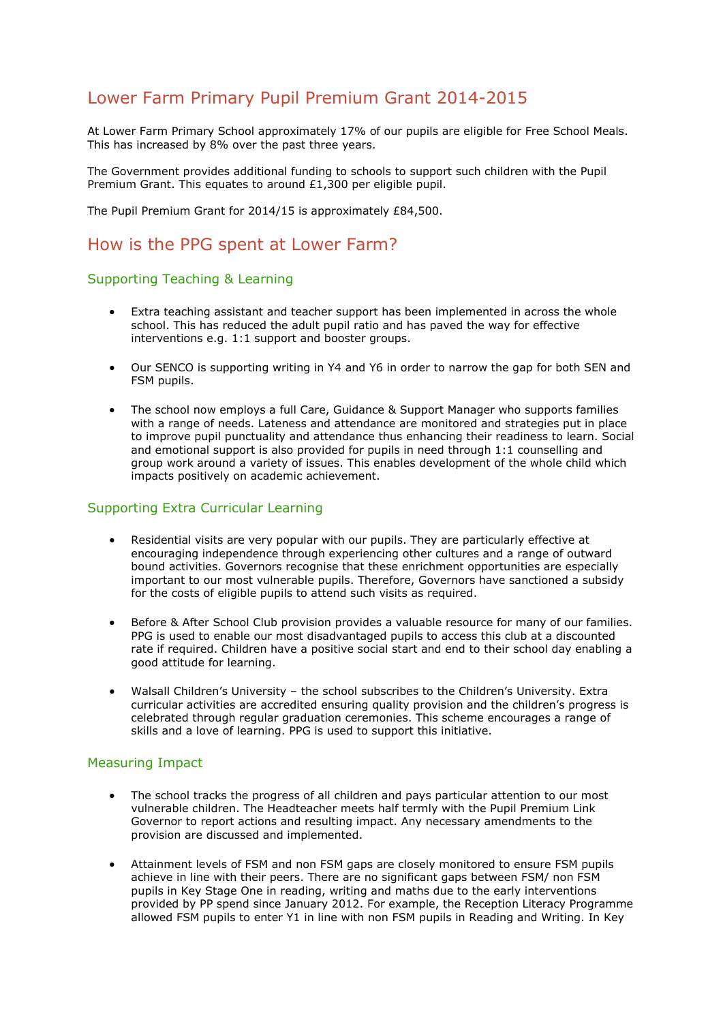# Lower Farm Primary Pupil Premium Grant 2014-2015

At Lower Farm Primary School approximately 17% of our pupils are eligible for Free School Meals. This has increased by 8% over the past three years.

The Government provides additional funding to schools to support such children with the Pupil Premium Grant. This equates to around £1,300 per eligible pupil.

The Pupil Premium Grant for 2014/15 is approximately £84,500.

## How is the PPG spent at Lower Farm?

#### Supporting Teaching & Learning

- Extra teaching assistant and teacher support has been implemented in across the whole school. This has reduced the adult pupil ratio and has paved the way for effective interventions e.g. 1:1 support and booster groups.
- Our SENCO is supporting writing in Y4 and Y6 in order to narrow the gap for both SEN and FSM pupils.
- The school now employs a full Care, Guidance & Support Manager who supports families with a range of needs. Lateness and attendance are monitored and strategies put in place to improve pupil punctuality and attendance thus enhancing their readiness to learn. Social and emotional support is also provided for pupils in need through 1:1 counselling and group work around a variety of issues. This enables development of the whole child which impacts positively on academic achievement.

### Supporting Extra Curricular Learning

- Residential visits are very popular with our pupils. They are particularly effective at encouraging independence through experiencing other cultures and a range of outward bound activities. Governors recognise that these enrichment opportunities are especially important to our most vulnerable pupils. Therefore, Governors have sanctioned a subsidy for the costs of eligible pupils to attend such visits as required.
- Before & After School Club provision provides a valuable resource for many of our families. PPG is used to enable our most disadvantaged pupils to access this club at a discounted rate if required. Children have a positive social start and end to their school day enabling a good attitude for learning.
- Walsall Children's University the school subscribes to the Children's University. Extra curricular activities are accredited ensuring quality provision and the children's progress is celebrated through regular graduation ceremonies. This scheme encourages a range of skills and a love of learning. PPG is used to support this initiative.

#### Measuring Impact

- The school tracks the progress of all children and pays particular attention to our most vulnerable children. The Headteacher meets half termly with the Pupil Premium Link Governor to report actions and resulting impact. Any necessary amendments to the provision are discussed and implemented.
- Attainment levels of FSM and non FSM gaps are closely monitored to ensure FSM pupils achieve in line with their peers. There are no significant gaps between FSM/ non FSM pupils in Key Stage One in reading, writing and maths due to the early interventions provided by PP spend since January 2012. For example, the Reception Literacy Programme allowed FSM pupils to enter Y1 in line with non FSM pupils in Reading and Writing. In Key